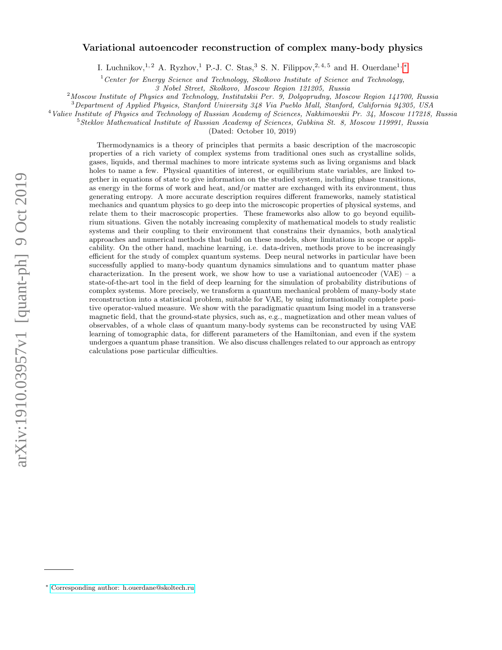# Variational autoencoder reconstruction of complex many-body physics

I. Luchnikov,<sup>1, 2</sup> A. Ryzhov,<sup>1</sup> P.-J. C. Stas,<sup>3</sup> S. N. Filippov,<sup>2, 4, 5</sup> and H. Ouerdane<sup>1, \*</sup>

 $1$ <sup>1</sup> Center for Energy Science and Technology, Skolkovo Institute of Science and Technology,

3 Nobel Street, Skolkovo, Moscow Region 121205, Russia

 $2$ Moscow Institute of Physics and Technology, Institutskii Per. 9, Dolgoprudny, Moscow Region 141700, Russia

<sup>3</sup>Department of Applied Physics, Stanford University 348 Via Pueblo Mall, Stanford, California 94305, USA

<sup>4</sup>Valiev Institute of Physics and Technology of Russian Academy of Sciences, Nakhimovskii Pr. 34, Moscow 117218, Russia

<sup>5</sup>Steklov Mathematical Institute of Russian Academy of Sciences, Gubkina St. 8, Moscow 119991, Russia

(Dated: October 10, 2019)

Thermodynamics is a theory of principles that permits a basic description of the macroscopic properties of a rich variety of complex systems from traditional ones such as crystalline solids, gases, liquids, and thermal machines to more intricate systems such as living organisms and black holes to name a few. Physical quantities of interest, or equilibrium state variables, are linked together in equations of state to give information on the studied system, including phase transitions, as energy in the forms of work and heat, and/or matter are exchanged with its environment, thus generating entropy. A more accurate description requires different frameworks, namely statistical mechanics and quantum physics to go deep into the microscopic properties of physical systems, and relate them to their macroscopic properties. These frameworks also allow to go beyond equilibrium situations. Given the notably increasing complexity of mathematical models to study realistic systems and their coupling to their environment that constrains their dynamics, both analytical approaches and numerical methods that build on these models, show limitations in scope or applicability. On the other hand, machine learning, i.e. data-driven, methods prove to be increasingly efficient for the study of complex quantum systems. Deep neural networks in particular have been successfully applied to many-body quantum dynamics simulations and to quantum matter phase characterization. In the present work, we show how to use a variational autoencoder  $(VAE)$  – a state-of-the-art tool in the field of deep learning for the simulation of probability distributions of complex systems. More precisely, we transform a quantum mechanical problem of many-body state reconstruction into a statistical problem, suitable for VAE, by using informationally complete positive operator-valued measure. We show with the paradigmatic quantum Ising model in a transverse magnetic field, that the ground-state physics, such as, e.g., magnetization and other mean values of observables, of a whole class of quantum many-body systems can be reconstructed by using VAE learning of tomographic data, for different parameters of the Hamiltonian, and even if the system undergoes a quantum phase transition. We also discuss challenges related to our approach as entropy calculations pose particular difficulties.

<span id="page-0-0"></span><sup>∗</sup> [Corresponding author: h.ouerdane@skoltech.ru](mailto:Corresponding author: h.ouerdane@skoltech.ru)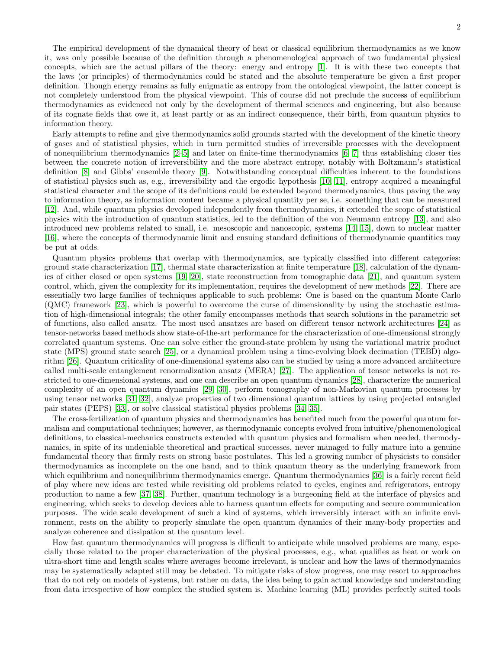The empirical development of the dynamical theory of heat or classical equilibrium thermodynamics as we know it, was only possible because of the definition through a phenomenological approach of two fundamental physical concepts, which are the actual pillars of the theory: energy and entropy [\[1\]](#page-15-0). It is with these two concepts that the laws (or principles) of thermodynamics could be stated and the absolute temperature be given a first proper definition. Though energy remains as fully enigmatic as entropy from the ontological viewpoint, the latter concept is not completely understood from the physical viewpoint. This of course did not preclude the success of equilibrium thermodynamics as evidenced not only by the development of thermal sciences and engineering, but also because of its cognate fields that owe it, at least partly or as an indirect consequence, their birth, from quantum physics to information theory.

Early attempts to refine and give thermodynamics solid grounds started with the development of the kinetic theory of gases and of statistical physics, which in turn permitted studies of irreversible processes with the development of nonequilibrium thermodynamics [\[2](#page-15-1)[–5\]](#page-15-2) and later on finite-time thermodynamics [\[6,](#page-15-3) [7\]](#page-15-4) thus establishing closer ties between the concrete notion of irreversibility and the more abstract entropy, notably with Boltzmann's statistical definition [\[8\]](#page-15-5) and Gibbs' ensemble theory [\[9\]](#page-15-6). Notwithstanding conceptual difficulties inherent to the foundations of statistical physics such as, e.g., irreversibility and the ergodic hypothesis [\[10,](#page-15-7) [11\]](#page-15-8), entropy acquired a meaningful statistical character and the scope of its definitions could be extended beyond thermodynamics, thus paving the way to information theory, as information content became a physical quantity per se, i.e. something that can be measured [\[12\]](#page-15-9). And, while quantum physics developed independently from thermodynamics, it extended the scope of statistical physics with the introduction of quantum statistics, led to the definition of the von Neumann entropy [\[13\]](#page-15-10), and also introduced new problems related to small, i.e. mesoscopic and nanoscopic, systems [\[14,](#page-15-11) [15\]](#page-15-12), down to nuclear matter [\[16\]](#page-15-13), where the concepts of thermodynamic limit and ensuing standard definitions of thermodynamic quantities may be put at odds.

Quantum physics problems that overlap with thermodynamics, are typically classified into different categories: ground state characterization [\[17\]](#page-15-14), thermal state characterization at finite temperature [\[18\]](#page-15-15), calculation of the dynamics of either closed or open systems [\[19,](#page-15-16) [20\]](#page-15-17), state reconstruction from tomographic data [\[21\]](#page-15-18), and quantum system control, which, given the complexity for its implementation, requires the development of new methods [\[22\]](#page-15-19). There are essentially two large families of techniques applicable to such problems: One is based on the quantum Monte Carlo (QMC) framework [\[23\]](#page-15-20), which is powerful to overcome the curse of dimensionality by using the stochastic estimation of high-dimensional integrals; the other family encompasses methods that search solutions in the parametric set of functions, also called ansatz. The most used ansatzes are based on different tensor network architectures [\[24\]](#page-15-21) as tensor-networks based methods show state-of-the-art performance for the characterization of one-dimensional strongly correlated quantum systems. One can solve either the ground-state problem by using the variational matrix product state (MPS) ground state search [\[25\]](#page-15-22), or a dynamical problem using a time-evolving block decimation (TEBD) algorithm [\[26\]](#page-15-23). Quantum criticality of one-dimensional systems also can be studied by using a more advanced architecture called multi-scale entanglement renormalization ansatz (MERA) [\[27\]](#page-15-24). The application of tensor networks is not restricted to one-dimensional systems, and one can describe an open quantum dynamics [\[28\]](#page-15-25), characterize the numerical complexity of an open quantum dynamics [\[29,](#page-15-26) [30\]](#page-15-27), perform tomography of non-Markovian quantum processes by using tensor networks [\[31,](#page-15-28) [32\]](#page-15-29), analyze properties of two dimensional quantum lattices by using projected entangled pair states (PEPS) [\[33\]](#page-15-30), or solve classical statistical physics problems [\[34,](#page-15-31) [35\]](#page-15-32).

The cross-fertilization of quantum physics and thermodynamics has benefited much from the powerful quantum formalism and computational techniques; however, as thermodynamic concepts evolved from intuitive/phenomenological definitions, to classical-mechanics constructs extended with quantum physics and formalism when needed, thermodynamics, in spite of its undeniable theoretical and practical successes, never managed to fully mature into a genuine fundamental theory that firmly rests on strong basic postulates. This led a growing number of physicists to consider thermodynamics as incomplete on the one hand, and to think quantum theory as the underlying framework from which equilibrium and nonequilibrium thermodynamics emerge. Quantum thermodynamics [\[36\]](#page-15-33) is a fairly recent field of play where new ideas are tested while revisiting old problems related to cycles, engines and refrigerators, entropy production to name a few [\[37,](#page-15-34) [38\]](#page-15-35). Further, quantum technology is a burgeoning field at the interface of physics and engineering, which seeks to develop devices able to harness quantum effects for computing and secure communication purposes. The wide scale development of such a kind of systems, which irreversibly interact with an infinite environment, rests on the ability to properly simulate the open quantum dynamics of their many-body properties and analyze coherence and dissipation at the quantum level.

How fast quantum thermodynamics will progress is difficult to anticipate while unsolved problems are many, especially those related to the proper characterization of the physical processes, e.g., what qualifies as heat or work on ultra-short time and length scales where averages become irrelevant, is unclear and how the laws of thermodynamics may be systematically adapted still may be debated. To mitigate risks of slow progress, one may resort to approaches that do not rely on models of systems, but rather on data, the idea being to gain actual knowledge and understanding from data irrespective of how complex the studied system is. Machine learning (ML) provides perfectly suited tools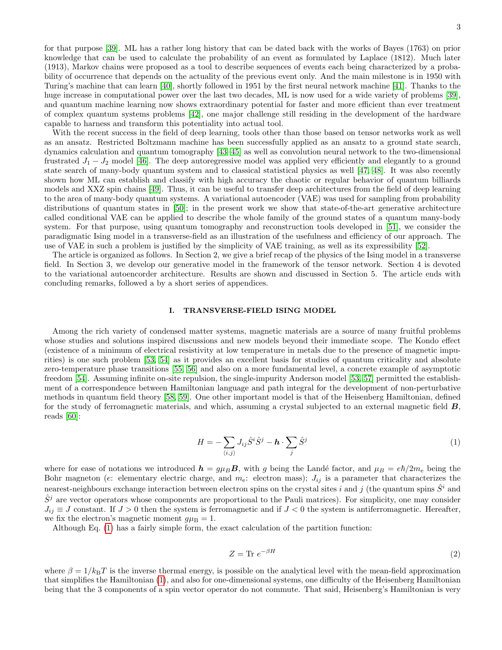for that purpose [\[39\]](#page-15-36). ML has a rather long history that can be dated back with the works of Bayes (1763) on prior knowledge that can be used to calculate the probability of an event as formulated by Laplace (1812). Much later (1913), Markov chains were proposed as a tool to describe sequences of events each being characterized by a probability of occurrence that depends on the actuality of the previous event only. And the main milestone is in 1950 with Turing's machine that can learn [\[40\]](#page-15-37), shortly followed in 1951 by the first neural network machine [\[41\]](#page-15-38). Thanks to the huge increase in computational power over the last two decades, ML is now used for a wide variety of problems [\[39\]](#page-15-36), and quantum machine learning now shows extraordinary potential for faster and more efficient than ever treatment of complex quantum systems problems [\[42\]](#page-16-0), one major challenge still residing in the development of the hardware capable to harness and transform this potentiality into actual tool.

With the recent success in the field of deep learning, tools other than those based on tensor networks work as well as an ansatz. Restricted Boltzmann machine has been successfully applied as an ansatz to a ground state search, dynamics calculation and quantum tomography [\[43–](#page-16-1)[45\]](#page-16-2) as well as convolution neural network to the two-dimensional frustrated  $J_1 - J_2$  model [\[46\]](#page-16-3). The deep autoregressive model was applied very efficiently and elegantly to a ground state search of many-body quantum system and to classical statistical physics as well [\[47,](#page-16-4) [48\]](#page-16-5). It was also recently shown how ML can establish and classify with high accuracy the chaotic or regular behavior of quantum billiards models and XXZ spin chains [\[49\]](#page-16-6). Thus, it can be useful to transfer deep architectures from the field of deep learning to the area of many-body quantum systems. A variational autoencoder (VAE) was used for sampling from probability distributions of quantum states in [\[50\]](#page-16-7); in the present work we show that state-of-the-art generative architecture called conditional VAE can be applied to describe the whole family of the ground states of a quantum many-body system. For that purpose, using quantum tomography and reconstruction tools developed in [\[51\]](#page-16-8), we consider the paradigmatic Ising model in a transverse-field as an illustration of the usefulness and efficiency of our approach. The use of VAE in such a problem is justified by the simplicity of VAE training, as well as its expressibility [\[52\]](#page-16-9).

The article is organized as follows. In Section 2, we give a brief recap of the physics of the Ising model in a transverse field. In Section 3, we develop our generative model in the framework of the tensor network. Section 4 is devoted to the variational autoencorder architecture. Results are shown and discussed in Section 5. The article ends with concluding remarks, followed a by a short series of appendices.

# I. TRANSVERSE-FIELD ISING MODEL

Among the rich variety of condensed matter systems, magnetic materials are a source of many fruitful problems whose studies and solutions inspired discussions and new models beyond their immediate scope. The Kondo effect (existence of a minimum of electrical resistivity at low temperature in metals due to the presence of magnetic impurities) is one such problem [\[53,](#page-16-10) [54\]](#page-16-11) as it provides an excellent basis for studies of quantum criticality and absolute zero-temperature phase transitions [\[55,](#page-16-12) [56\]](#page-16-13) and also on a more fundamental level, a concrete example of asymptotic freedom [\[54\]](#page-16-11). Assuming infinite on-site repulsion, the single-impurity Anderson model [\[53,](#page-16-10) [57\]](#page-16-14) permitted the establishment of a correspondence between Hamiltonian language and path integral for the development of non-perturbative methods in quantum field theory [\[58,](#page-16-15) [59\]](#page-16-16). One other important model is that of the Heisenberg Hamiltonian, defined for the study of ferromagnetic materials, and which, assuming a crystal subjected to an external magnetic field B, reads [\[60\]](#page-16-17):

<span id="page-2-0"></span>
$$
H = -\sum_{\langle i,j\rangle} J_{ij}\hat{S}^i \hat{S}^j - \mathbf{h} \cdot \sum_j \hat{S}^j \tag{1}
$$

where for ease of notations we introduced  $h = g\mu_B B$ , with g being the Landé factor, and  $\mu_B = e\hbar/2m_e$  being the Bohr magneton (e: elementary electric charge, and  $m_e$ : electron mass);  $J_{ij}$  is a parameter that characterizes the nearest-neighbours exchange interaction between electron spins on the crystal sites i and j (the quantum spins  $\hat{S}^i$  and  $S<sup>j</sup>$  are vector operators whose components are proportional to the Pauli matrices). For simplicity, one may consider  $J_{ij} \equiv J$  constant. If  $J > 0$  then the system is ferromagnetic and if  $J < 0$  the system is antiferromagnetic. Hereafter, we fix the electron's magnetic moment  $g\mu_B = 1$ .

Although Eq. [\(1\)](#page-2-0) has a fairly simple form, the exact calculation of the partition function:

$$
Z = \text{Tr } e^{-\beta H} \tag{2}
$$

where  $\beta = 1/k_BT$  is the inverse thermal energy, is possible on the analytical level with the mean-field approximation that simplifies the Hamiltonian [\(1\)](#page-2-0), and also for one-dimensional systems, one difficulty of the Heisenberg Hamiltonian being that the 3 components of a spin vector operator do not commute. That said, Heisenberg's Hamiltonian is very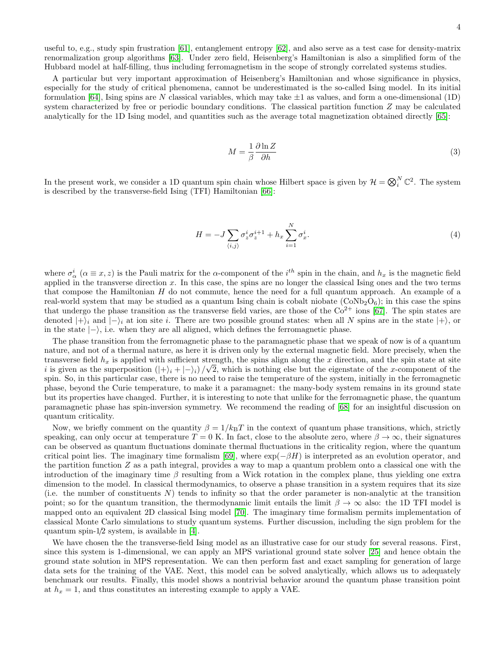useful to, e.g., study spin frustration [\[61\]](#page-16-18), entanglement entropy [\[62\]](#page-16-19), and also serve as a test case for density-matrix renormalization group algorithms [\[63\]](#page-16-20). Under zero field, Heisenberg's Hamiltonian is also a simplified form of the Hubbard model at half-filling, thus including ferromagnetism in the scope of strongly correlated systems studies.

A particular but very important approximation of Heisenberg's Hamiltonian and whose significance in physics, especially for the study of critical phenomena, cannot be underestimated is the so-called Ising model. In its initial formulation [\[64\]](#page-16-21), Ising spins are N classical variables, which may take  $\pm 1$  as values, and form a one-dimensional (1D) system characterized by free or periodic boundary conditions. The classical partition function Z may be calculated analytically for the 1D Ising model, and quantities such as the average total magnetization obtained directly [\[65\]](#page-16-22):

<span id="page-3-1"></span>
$$
M = \frac{1}{\beta} \frac{\partial \ln Z}{\partial h} \tag{3}
$$

In the present work, we consider a 1D quantum spin chain whose Hilbert space is given by  $\mathcal{H} = \bigotimes_i^N \mathbb{C}^2$ . The system is described by the transverse-field Ising (TFI) Hamiltonian [\[66\]](#page-16-23):

<span id="page-3-0"></span>
$$
H = -J\sum_{\langle i,j\rangle} \sigma_z^i \sigma_z^{i+1} + h_x \sum_{i=1}^N \sigma_x^i.
$$
 (4)

where  $\sigma^i_\alpha$  ( $\alpha \equiv x, z$ ) is the Pauli matrix for the  $\alpha$ -component of the  $i^{th}$  spin in the chain, and  $h_x$  is the magnetic field applied in the transverse direction  $x$ . In this case, the spins are no longer the classical Ising ones and the two terms that compose the Hamiltonian H do not commute, hence the need for a full quantum approach. An example of a real-world system that may be studied as a quantum Ising chain is cobalt niobate  $(CoNb<sub>2</sub>O<sub>6</sub>)$ ; in this case the spins that undergo the phase transition as the transverse field varies, are those of the  $Co^{2+}$  ions [\[67\]](#page-16-24). The spin states are denoted  $|+\rangle_i$  and  $|-\rangle_i$  at ion site i. There are two possible ground states: when all N spins are in the state  $|+\rangle$ , or in the state  $|-\rangle$ , i.e. when they are all aligned, which defines the ferromagnetic phase.

The phase transition from the ferromagnetic phase to the paramagnetic phase that we speak of now is of a quantum nature, and not of a thermal nature, as here it is driven only by the external magnetic field. More precisely, when the transverse field  $h_x$  is applied with sufficient strength, the spins align along the x direction, and the spin state at site i is given as the superposition  $(|+\rangle_i + |-\rangle_i)/\sqrt{2}$ , which is nothing else but the eigenstate of the x-component of the spin. So, in this particular case, there is no need to raise the temperature of the system, initially in the ferromagnetic phase, beyond the Curie temperature, to make it a paramagnet: the many-body system remains in its ground state but its properties have changed. Further, it is interesting to note that unlike for the ferromagnetic phase, the quantum paramagnetic phase has spin-inversion symmetry. We recommend the reading of [\[68\]](#page-16-25) for an insightful discussion on quantum criticality.

Now, we briefly comment on the quantity  $\beta = 1/k_BT$  in the context of quantum phase transitions, which, strictly speaking, can only occur at temperature  $T = 0$  K. In fact, close to the absolute zero, where  $\beta \to \infty$ , their signatures can be observed as quantum fluctuations dominate thermal fluctuations in the criticality region, where the quantum critical point lies. The imaginary time formalism [\[69\]](#page-16-26), where  $\exp(-\beta H)$  is interpreted as an evolution operator, and the partition function Z as a path integral, provides a way to map a quantum problem onto a classical one with the introduction of the imaginary time  $\beta$  resulting from a Wick rotation in the complex plane, thus yielding one extra dimension to the model. In classical thermodynamics, to observe a phase transition in a system requires that its size (i.e. the number of constituents  $N$ ) tends to infinity so that the order parameter is non-analytic at the transition point; so for the quantum transition, the thermodynamic limit entails the limit  $\beta \to \infty$  also: the 1D TFI model is mapped onto an equivalent 2D classical Ising model [\[70\]](#page-16-27). The imaginary time formalism permits implementation of classical Monte Carlo simulations to study quantum systems. Further discussion, including the sign problem for the quantum spin-1/2 system, is available in [\[4\]](#page-15-39).

We have chosen the the transverse-field Ising model as an illustrative case for our study for several reasons. First, since this system is 1-dimensional, we can apply an MPS variational ground state solver [\[25\]](#page-15-22) and hence obtain the ground state solution in MPS representation. We can then perform fast and exact sampling for generation of large data sets for the training of the VAE. Next, this model can be solved analytically, which allows us to adequately benchmark our results. Finally, this model shows a nontrivial behavior around the quantum phase transition point at  $h_x = 1$ , and thus constitutes an interesting example to apply a VAE.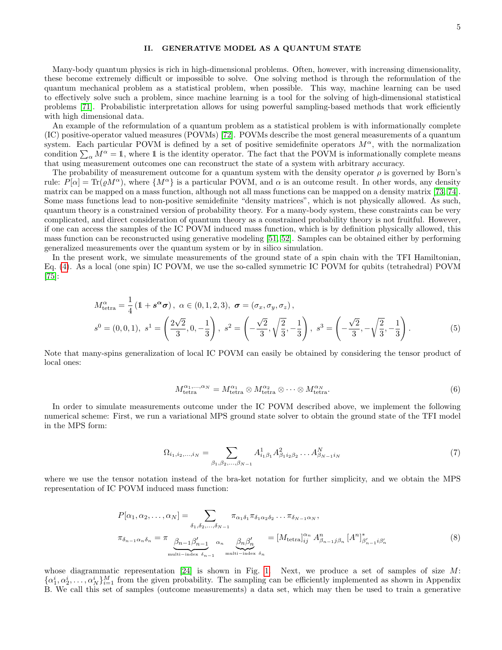## II. GENERATIVE MODEL AS A QUANTUM STATE

Many-body quantum physics is rich in high-dimensional problems. Often, however, with increasing dimensionality, these become extremely difficult or impossible to solve. One solving method is through the reformulation of the quantum mechanical problem as a statistical problem, when possible. This way, machine learning can be used to effectively solve such a problem, since machine learning is a tool for the solving of high-dimensional statistical problems [\[71\]](#page-16-28). Probabilistic interpretation allows for using powerful sampling-based methods that work efficiently with high dimensional data.

An example of the reformulation of a quantum problem as a statistical problem is with informationally complete (IC) positive-operator valued measures (POVMs) [\[72\]](#page-16-29). POVMs describe the most general measurements of a quantum system. Each particular POVM is defined by a set of positive semidefinite operators  $M^{\alpha}$ , with the normalization condition  $\sum_{\alpha} M^{\alpha} = 1$ , where 1 is the identity operator. The fact that the POVM is informationally complete means that using measurement outcomes one can reconstruct the state of a system with arbitrary accuracy.

The probability of measurement outcome for a quantum system with the density operator  $\rho$  is governed by Born's rule:  $P[\alpha] = \text{Tr}(\rho M^{\alpha})$ , where  $\{M^{\alpha}\}\$ is a particular POVM, and  $\alpha$  is an outcome result. In other words, any density matrix can be mapped on a mass function, although not all mass functions can be mapped on a density matrix [\[73,](#page-16-30) [74\]](#page-16-31). Some mass functions lead to non-positive semidefinite "density matrices", which is not physically allowed. As such, quantum theory is a constrained version of probability theory. For a many-body system, these constraints can be very complicated, and direct consideration of quantum theory as a constrained probability theory is not fruitful. However, if one can access the samples of the IC POVM induced mass function, which is by definition physically allowed, this mass function can be reconstructed using generative modeling [\[51,](#page-16-8) [52\]](#page-16-9). Samples can be obtained either by performing generalized measurements over the quantum system or by in silico simulation.

In the present work, we simulate measurements of the ground state of a spin chain with the TFI Hamiltonian, Eq. [\(4\)](#page-3-0). As a local (one spin) IC POVM, we use the so-called symmetric IC POVM for qubits (tetrahedral) POVM [\[75\]](#page-16-32):

$$
M_{\text{tetra}}^{\alpha} = \frac{1}{4} \left( 1 + s^{\alpha} \sigma \right), \ \alpha \in (0, 1, 2, 3), \ \sigma = (\sigma_x, \sigma_y, \sigma_z),
$$

$$
s^0 = (0, 0, 1), \ s^1 = \left( \frac{2\sqrt{2}}{3}, 0, -\frac{1}{3} \right), \ s^2 = \left( -\frac{\sqrt{2}}{3}, \sqrt{\frac{2}{3}}, -\frac{1}{3} \right), \ s^3 = \left( -\frac{\sqrt{2}}{3}, -\sqrt{\frac{2}{3}}, -\frac{1}{3} \right). \tag{5}
$$

Note that many-spins generalization of local IC POVM can easily be obtained by considering the tensor product of local ones:

$$
M_{\text{tetra}}^{\alpha_1,\dots,\alpha_N} = M_{\text{tetra}}^{\alpha_1} \otimes M_{\text{tetra}}^{\alpha_2} \otimes \dots \otimes M_{\text{tetra}}^{\alpha_N}.
$$
\n(6)

In order to simulate measurements outcome under the IC POVM described above, we implement the following numerical scheme: First, we run a variational MPS ground state solver to obtain the ground state of the TFI model in the MPS form:

$$
\Omega_{i_1, i_2, \dots, i_N} = \sum_{\beta_1, \beta_2, \dots, \beta_{N-1}} A^1_{i_1 \beta_1} A^2_{\beta_1 i_2 \beta_2} \dots A^N_{\beta_{N-1} i_N}
$$
\n(7)

where we use the tensor notation instead of the bra-ket notation for further simplicity, and we obtain the MPS representation of IC POVM induced mass function:

$$
P[\alpha_1, \alpha_2, \dots, \alpha_N] = \sum_{\delta_1, \delta_2, \dots, \delta_{N-1}} \pi_{\alpha_1 \delta_1} \pi_{\delta_1 \alpha_2 \delta_2} \dots \pi_{\delta_{N-1} \alpha_N},
$$
  

$$
\pi_{\delta_{n-1} \alpha_n \delta_n} = \pi \underbrace{\beta_{n-1} \beta'_{n-1}}_{\text{multi-index } \delta_{n-1}} \alpha_n \underbrace{\beta_n \beta'_n}_{\text{multi-index } \delta_n} = [M_{\text{tetra}}]_{ij}^{\alpha_n} A_{\beta_{n-1} j\beta_n}^n [A^n]_{\beta'_{n-1} i\beta'_n}^* \tag{8}
$$

whose diagrammatic representation  $[24]$  is shown in Fig. [1.](#page-5-0) Next, we produce a set of samples of size M:  $\{\alpha_1^i,\alpha_2^i,\ldots,\alpha_N^i\}_{i=1}^M$  from the given probability. The sampling can be efficiently implemented as shown in Appendix B. We call this set of samples (outcome measurements) a data set, which may then be used to train a generative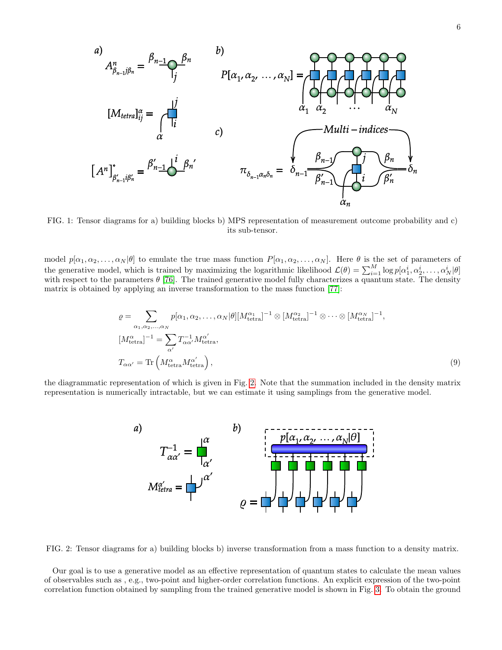<span id="page-5-0"></span>

FIG. 1: Tensor diagrams for a) building blocks b) MPS representation of measurement outcome probability and c) its sub-tensor.

model  $p[\alpha_1, \alpha_2, \ldots, \alpha_N|\theta]$  to emulate the true mass function  $P[\alpha_1, \alpha_2, \ldots, \alpha_N]$ . Here  $\theta$  is the set of parameters of the generative model, which is trained by maximizing the logarithmic likelihood  $\mathcal{L}(\theta) = \sum_{i=1}^{M} \log p[\alpha_1^i, \alpha_2^i, \dots, \alpha_N^i | \theta]$ with respect to the parameters  $\theta$  [\[76\]](#page-16-33). The trained generative model fully characterizes a quantum state. The density matrix is obtained by applying an inverse transformation to the mass function [\[77\]](#page-16-34):

$$
\varrho = \sum_{\alpha_1, \alpha_2, \dots, \alpha_N} p[\alpha_1, \alpha_2, \dots, \alpha_N | \theta] [M_{\text{tetra}}^{\alpha_1}]^{-1} \otimes [M_{\text{tetra}}^{\alpha_2}]^{-1} \otimes \dots \otimes [M_{\text{tetra}}^{\alpha_N}]^{-1},
$$
  
\n
$$
[M_{\text{tetra}}^{\alpha}]^{-1} = \sum_{\alpha'} T_{\alpha\alpha'}^{-1} M_{\text{tetra}}^{\alpha'},
$$
  
\n
$$
T_{\alpha\alpha'} = \text{Tr}\left(M_{\text{tetra}}^{\alpha} M_{\text{tetra}}^{\alpha'}\right),
$$
\n(9)

<span id="page-5-1"></span>the diagrammatic representation of which is given in Fig. [2.](#page-5-1) Note that the summation included in the density matrix representation is numerically intractable, but we can estimate it using samplings from the generative model.



FIG. 2: Tensor diagrams for a) building blocks b) inverse transformation from a mass function to a density matrix.

Our goal is to use a generative model as an effective representation of quantum states to calculate the mean values of observables such as , e.g., two-point and higher-order correlation functions. An explicit expression of the two-point correlation function obtained by sampling from the trained generative model is shown in Fig. [3.](#page-6-0) To obtain the ground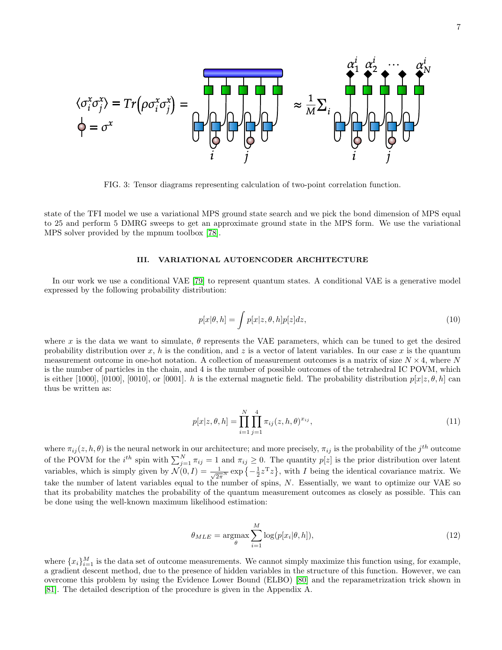<span id="page-6-0"></span>

FIG. 3: Tensor diagrams representing calculation of two-point correlation function.

state of the TFI model we use a variational MPS ground state search and we pick the bond dimension of MPS equal to 25 and perform 5 DMRG sweeps to get an approximate ground state in the MPS form. We use the variational MPS solver provided by the mpnum toolbox [\[78\]](#page-16-35).

#### III. VARIATIONAL AUTOENCODER ARCHITECTURE

In our work we use a conditional VAE [\[79\]](#page-16-36) to represent quantum states. A conditional VAE is a generative model expressed by the following probability distribution:

$$
p[x|\theta, h] = \int p[x|z, \theta, h] p[z] dz,
$$
\n(10)

where x is the data we want to simulate,  $\theta$  represents the VAE parameters, which can be tuned to get the desired probability distribution over x, h is the condition, and z is a vector of latent variables. In our case x is the quantum measurement outcome in one-hot notation. A collection of measurement outcomes is a matrix of size  $N \times 4$ , where N is the number of particles in the chain, and 4 is the number of possible outcomes of the tetrahedral IC POVM, which is either [1000], [0100], [0010], or [0001]. h is the external magnetic field. The probability distribution  $p[x|z, \theta, h]$  can thus be written as:

$$
p[x|z, \theta, h] = \prod_{i=1}^{N} \prod_{j=1}^{4} \pi_{ij}(z, h, \theta)^{x_{ij}},
$$
\n(11)

where  $\pi_{ij}(z, h, \theta)$  is the neural network in our architecture; and more precisely,  $\pi_{ij}$  is the probability of the  $j^{th}$  outcome of the POVM for the  $i^{th}$  spin with  $\sum_{j=1}^{N} \pi_{ij} = 1$  and  $\pi_{ij} \geq 0$ . The quantity  $p[z]$  is the prior distribution over latent variables, which is simply given by  $\mathcal{N}(0, I) = \frac{1}{\sqrt{2\pi}N} \exp\left\{-\frac{1}{2}z^Tz\right\}$ , with I being the identical covariance matrix. We take the number of latent variables equal to the number of spins, N. Essentially, we want to optimize our VAE so that its probability matches the probability of the quantum measurement outcomes as closely as possible. This can be done using the well-known maximum likelihood estimation:

$$
\theta_{MLE} = \underset{\theta}{\operatorname{argmax}} \sum_{i=1}^{M} \log(p[x_i|\theta, h]), \tag{12}
$$

where  ${x_i}_{i=1}^M$  is the data set of outcome measurements. We cannot simply maximize this function using, for example, a gradient descent method, due to the presence of hidden variables in the structure of this function. However, we can overcome this problem by using the Evidence Lower Bound (ELBO) [\[80\]](#page-16-37) and the reparametrization trick shown in [\[81\]](#page-16-38). The detailed description of the procedure is given in the Appendix A.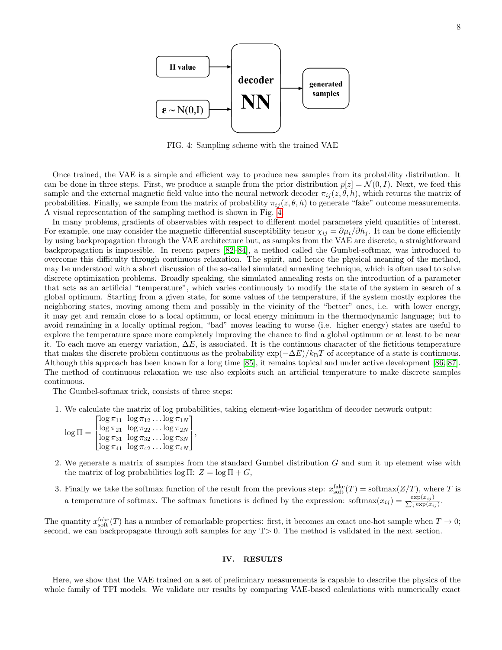<span id="page-7-0"></span>

FIG. 4: Sampling scheme with the trained VAE

Once trained, the VAE is a simple and efficient way to produce new samples from its probability distribution. It can be done in three steps. First, we produce a sample from the prior distribution  $p[z] = \mathcal{N}(0, I)$ . Next, we feed this sample and the external magnetic field value into the neural network decoder  $\pi_{ij}(z, \theta, h)$ , which returns the matrix of probabilities. Finally, we sample from the matrix of probability  $\pi_{ij}(z, \theta, h)$  to generate "fake" outcome measurements. A visual representation of the sampling method is shown in Fig. [4.](#page-7-0)

In many problems, gradients of observables with respect to different model parameters yield quantities of interest. For example, one may consider the magnetic differential susceptibility tensor  $\chi_{ij} = \partial \mu_i / \partial h_j$ . It can be done efficiently by using backpropagation through the VAE architecture but, as samples from the VAE are discrete, a straightforward backpropagation is impossible. In recent papers [\[82–](#page-16-39)[84\]](#page-16-40), a method called the Gumbel-softmax, was introduced to overcome this difficulty through continuous relaxation. The spirit, and hence the physical meaning of the method, may be understood with a short discussion of the so-called simulated annealing technique, which is often used to solve discrete optimization problems. Broadly speaking, the simulated annealing rests on the introduction of a parameter that acts as an artificial "temperature", which varies continuously to modify the state of the system in search of a global optimum. Starting from a given state, for some values of the temperature, if the system mostly explores the neighboring states, moving among them and possibly in the vicinity of the "better" ones, i.e. with lower energy, it may get and remain close to a local optimum, or local energy minimum in the thermodynamic language; but to avoid remaining in a locally optimal region, "bad" moves leading to worse (i.e. higher energy) states are useful to explore the temperature space more completely improving the chance to find a global optimum or at least to be near it. To each move an energy variation,  $\Delta E$ , is associated. It is the continuous character of the fictitious temperature that makes the discrete problem continuous as the probability  $\exp(-\Delta E)/k_BT$  of acceptance of a state is continuous. Although this approach has been known for a long time [\[85\]](#page-16-41), it remains topical and under active development [\[86,](#page-16-42) [87\]](#page-16-43). The method of continuous relaxation we use also exploits such an artificial temperature to make discrete samples continuous.

The Gumbel-softmax trick, consists of three steps:

1. We calculate the matrix of log probabilities, taking element-wise logarithm of decoder network output:

 $\log\Pi =$  $\lceil$  $\Big\}$  $\log \pi_{11} \ \log \pi_{12} \dots \log \pi_{1N}$  $\log \pi_{21} \;\; \log \pi_{22} \ldots \log \pi_{2N}$  $\log \pi_{31}$   $\log \pi_{32} \dots \log \pi_{3N}$  $\log \pi_{41}$   $\log \pi_{42} \dots \log \pi_{4N}$ 1  $\vert \cdot$ 

- 2. We generate a matrix of samples from the standard Gumbel distribution G and sum it up element wise with the matrix of log probabilities log Π:  $Z = \log \Pi + G$ ,
- 3. Finally we take the softmax function of the result from the previous step:  $x_{\text{soft}}^{\text{fake}}(T) = \text{softmax}(Z/T)$ , where T is a temperature of softmax. The softmax functions is defined by the expression: softmax $(x_{ij}) = \frac{\exp(x_{ij})}{\sum_i \exp(x_i)}$  $\frac{\exp(x_{ij})}{i \exp(x_{ij})}$ .

The quantity  $x_{\text{soft}}^{\text{fake}}(T)$  has a number of remarkable properties: first, it becomes an exact one-hot sample when  $T \to 0$ ; second, we can backpropagate through soft samples for any  $T>0$ . The method is validated in the next section.

### IV. RESULTS

Here, we show that the VAE trained on a set of preliminary measurements is capable to describe the physics of the whole family of TFI models. We validate our results by comparing VAE-based calculations with numerically exact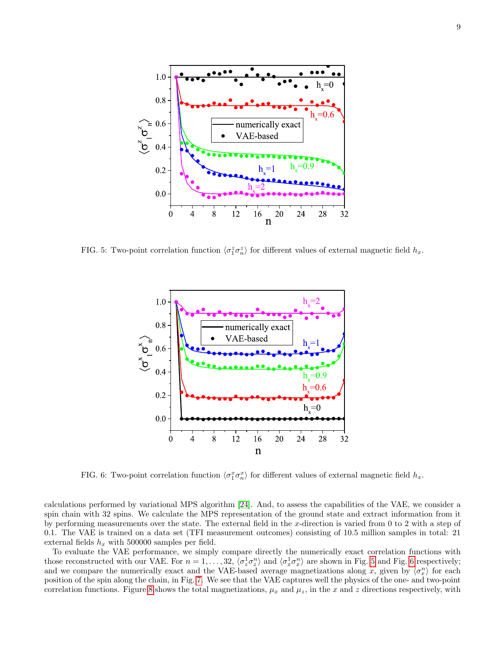<span id="page-8-0"></span>

<span id="page-8-1"></span>FIG. 5: Two-point correlation function  $\langle \sigma_1^z \sigma_n^z \rangle$  for different values of external magnetic field  $h_x$ .



FIG. 6: Two-point correlation function  $\langle \sigma_1^x \sigma_n^x \rangle$  for different values of external magnetic field  $h_x$ .

calculations performed by variational MPS algorithm [\[24\]](#page-15-21). And, to assess the capabilities of the VAE, we consider a spin chain with 32 spins. We calculate the MPS representation of the ground state and extract information from it by performing measurements over the state. The external field in the  $x$ -direction is varied from 0 to 2 with a step of 0.1. The VAE is trained on a data set (TFI measurement outcomes) consisting of 10.5 million samples in total: 21 external fields  $h_x$  with 500000 samples per field.

To evaluate the VAE performance, we simply compare directly the numerically exact correlation functions with those reconstructed with our VAE. For  $n = 1, \ldots, 32, \langle \sigma_z^1 \sigma_z^n \rangle$  and  $\langle \sigma_x^1 \sigma_x^n \rangle$  are shown in Fig. [5](#page-8-0) and Fig. [6](#page-8-1) respectively; and we compare the numerically exact and the VAE-based average magnetizations along x, given by  $\langle \sigma_x^n \rangle$  for each position of the spin along the chain, in Fig. [7.](#page-9-0) We see that the VAE captures well the physics of the one- and two-point correlation functions. Figure [8](#page-9-1) shows the total magnetizations,  $\mu_x$  and  $\mu_z$ , in the x and z directions respectively, with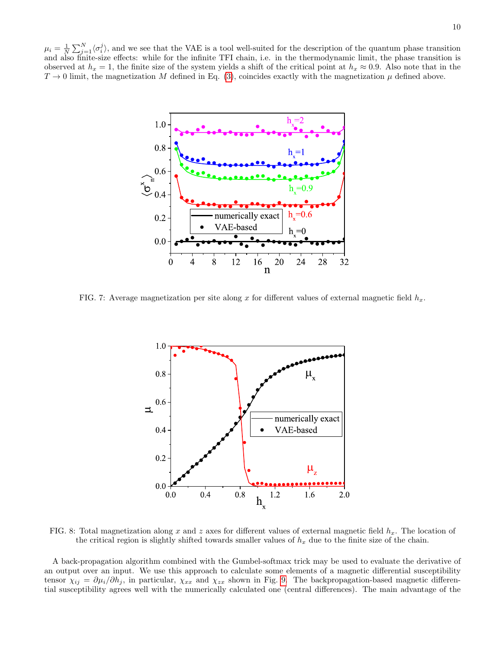<span id="page-9-0"></span> $\mu_i = \frac{1}{N} \sum_{j=1}^{N} \langle \sigma_i^j \rangle$ , and we see that the VAE is a tool well-suited for the description of the quantum phase transition and also finite-size effects: while for the infinite TFI chain, i.e. in the thermodynamic limit, the phase transition is observed at  $h_x = 1$ , the finite size of the system yields a shift of the critical point at  $h_x \approx 0.9$ . Also note that in the  $T \to 0$  limit, the magnetization M defined in Eq. [\(3\)](#page-3-1), coincides exactly with the magnetization  $\mu$  defined above.



<span id="page-9-1"></span>FIG. 7: Average magnetization per site along x for different values of external magnetic field  $h_x$ .



FIG. 8: Total magnetization along x and z axes for different values of external magnetic field  $h_x$ . The location of the critical region is slightly shifted towards smaller values of  $h_x$  due to the finite size of the chain.

A back-propagation algorithm combined with the Gumbel-softmax trick may be used to evaluate the derivative of an output over an input. We use this approach to calculate some elements of a magnetic differential susceptibility tensor  $\chi_{ij} = \partial \mu_i / \partial h_j$ , in particular,  $\chi_{xx}$  and  $\chi_{zx}$  shown in Fig. [9.](#page-10-0) The backpropagation-based magnetic differential susceptibility agrees well with the numerically calculated one (central differences). The main advantage of the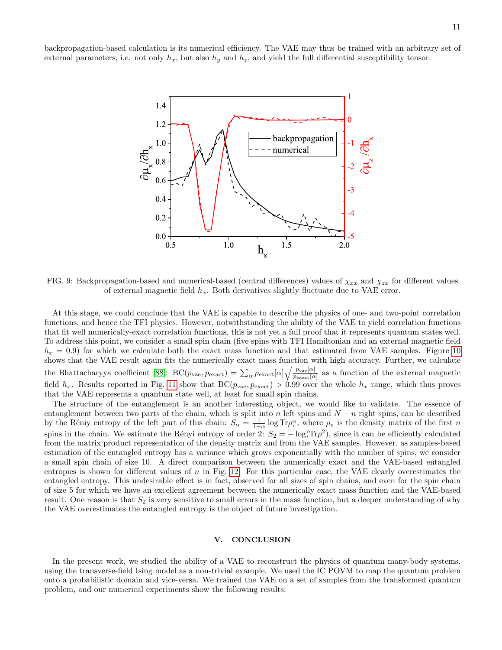<span id="page-10-0"></span>backpropagation-based calculation is its numerical efficiency. The VAE may thus be trained with an arbitrary set of external parameters, i.e. not only  $h_x$ , but also  $h_y$  and  $h_z$ , and yield the full differential susceptibility tensor.



FIG. 9: Backpropagation-based and numerical-based (central differences) values of  $\chi_{xx}$  and  $\chi_{zx}$  for different values of external magnetic field  $h_x$ . Both derivatives slightly fluctuate due to VAE error.

At this stage, we could conclude that the VAE is capable to describe the physics of one- and two-point correlation functions, and hence the TFI physics. However, notwithstanding the ability of the VAE to yield correlation functions that fit well numerically-exact correlation functions, this is not yet a full proof that it represents quantum states well. To address this point, we consider a small spin chain (five spins with TFI Hamiltonian and an external magnetic field  $h_x = 0.9$ ) for which we calculate both the exact mass function and that estimated from VAE samples. Figure [10](#page-11-0) shows that the VAE result again fits the numerically exact mass function with high accuracy. Further, we calculate the Bhattacharyya coefficient [\[88\]](#page-16-44):  $BC(p_{\text{vae}}, p_{\text{exact}}) = \sum_{\alpha} p_{\text{exact}}[\alpha] \sqrt{\frac{p_{\text{vae}}[\alpha]}{p_{\text{exact}}[\alpha]}}$  as a function of the external magnetic field  $h_x$ . Results reported in Fig. [11](#page-11-1) show that  $BC(p_{\text{vae}}, p_{\text{exact}}) > 0.99$  over the whole  $h_x$  range, which thus proves that the VAE represents a quantum state well, at least for small spin chains.

The structure of the entanglement is an another interesting object, we would like to validate. The essence of entanglement between two parts of the chain, which is split into n left spins and  $N - n$  right spins, can be described by the Réniy entropy of the left part of this chain:  $S_{\alpha} = \frac{1}{1-\alpha} \log Tr \rho_n^{\alpha}$ , where  $\rho_n$  is the density matrix of the first n spins in the chain. We estimate the Rényi entropy of order 2:  $S_2 = -\log(\text{Tr}\rho^2)$ , since it can be efficiently calculated from the matrix product representation of the density matrix and from the VAE samples. However, as samples-based estimation of the entangled entropy has a variance which grows exponentially with the number of spins, we consider a small spin chain of size 10. A direct comparison between the numerically exact and the VAE-based entangled entropies is shown for different values of  $n$  in Fig. [12.](#page-12-0) For this particular case, the VAE clearly overestimates the entangled entropy. This undesirable effect is in fact, observed for all sizes of spin chains, and even for the spin chain of size 5 for which we have an excellent agreement between the numerically exact mass function and the VAE-based result. One reason is that  $S_2$  is very sensitive to small errors in the mass function, but a deeper understanding of why the VAE overestimates the entangled entropy is the object of future investigation.

### V. CONCLUSION

In the present work, we studied the ability of a VAE to reconstruct the physics of quantum many-body systems, using the transverse-field Ising model as a non-trivial example. We used the IC POVM to map the quantum problem onto a probabilistic domain and vice-versa. We trained the VAE on a set of samples from the transformed quantum problem, and our numerical experiments show the following results: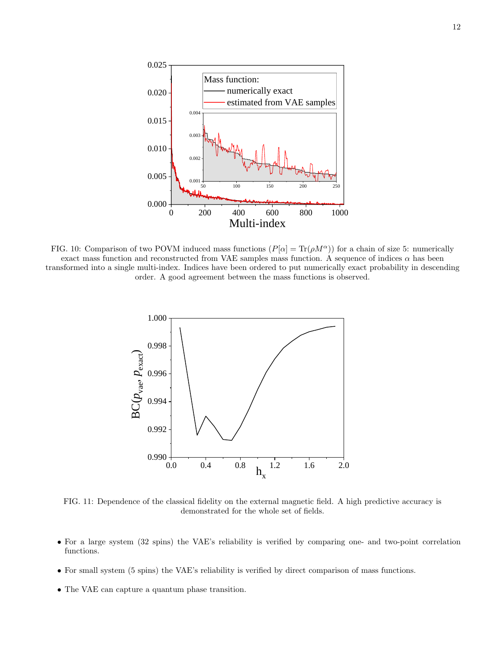<span id="page-11-0"></span>

<span id="page-11-1"></span>FIG. 10: Comparison of two POVM induced mass functions  $(P[\alpha] = \text{Tr}(\rho M^{\alpha})$  for a chain of size 5: numerically exact mass function and reconstructed from VAE samples mass function. A sequence of indices  $\alpha$  has been transformed into a single multi-index. Indices have been ordered to put numerically exact probability in descending order. A good agreement between the mass functions is observed.



FIG. 11: Dependence of the classical fidelity on the external magnetic field. A high predictive accuracy is demonstrated for the whole set of fields.

- For a large system (32 spins) the VAE's reliability is verified by comparing one- and two-point correlation functions.
- For small system (5 spins) the VAE's reliability is verified by direct comparison of mass functions.
- The VAE can capture a quantum phase transition.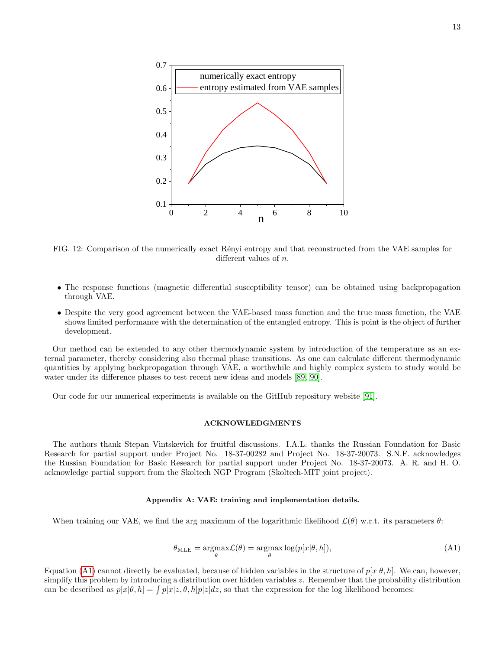<span id="page-12-0"></span>

FIG. 12: Comparison of the numerically exact Rényi entropy and that reconstructed from the VAE samples for different values of n.

- The response functions (magnetic differential susceptibility tensor) can be obtained using backpropagation through VAE.
- Despite the very good agreement between the VAE-based mass function and the true mass function, the VAE shows limited performance with the determination of the entangled entropy. This is point is the object of further development.

Our method can be extended to any other thermodynamic system by introduction of the temperature as an external parameter, thereby considering also thermal phase transitions. As one can calculate different thermodynamic quantities by applying backpropagation through VAE, a worthwhile and highly complex system to study would be water under its difference phases to test recent new ideas and models [\[89,](#page-16-45) [90\]](#page-16-46).

Our code for our numerical experiments is available on the GitHub repository website [\[91\]](#page-16-47).

## ACKNOWLEDGMENTS

The authors thank Stepan Vintskevich for fruitful discussions. I.A.L. thanks the Russian Foundation for Basic Research for partial support under Project No. 18-37-00282 and Project No. 18-37-20073. S.N.F. acknowledges the Russian Foundation for Basic Research for partial support under Project No. 18-37-20073. A. R. and H. O. acknowledge partial support from the Skoltech NGP Program (Skoltech-MIT joint project).

### Appendix A: VAE: training and implementation details.

When training our VAE, we find the arg maximum of the logarithmic likelihood  $\mathcal{L}(\theta)$  w.r.t. its parameters  $\theta$ :

<span id="page-12-1"></span>
$$
\theta_{\text{MLE}} = \underset{\theta}{\operatorname{argmax}} \mathcal{L}(\theta) = \underset{\theta}{\operatorname{argmax}} \log(p[x|\theta, h]),\tag{A1}
$$

Equation [\(A1\)](#page-12-1) cannot directly be evaluated, because of hidden variables in the structure of  $p[x|\theta, h]$ . We can, however, simplify this problem by introducing a distribution over hidden variables z. Remember that the probability distribution can be described as  $p[x|\theta, h] = \int p[x|z, \theta, h]p[z]dz$ , so that the expression for the log likelihood becomes: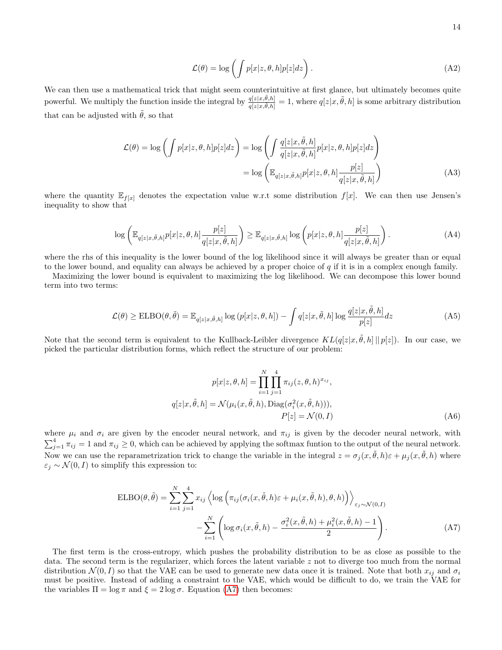$$
\mathcal{L}(\theta) = \log \left( \int p[x|z, \theta, h] p[z] dz \right). \tag{A2}
$$

We can then use a mathematical trick that might seem counterintuitive at first glance, but ultimately becomes quite powerful. We multiply the function inside the integral by  $\frac{q[z|x,\tilde{\theta},h]}{q[z|x,\tilde{\theta},h]} = 1$ , where  $q[z|x,\tilde{\theta},h]$  is some arbitrary distribution that can be adjusted with  $\tilde{\theta}$ , so that

$$
\mathcal{L}(\theta) = \log \left( \int p[x|z, \theta, h] p[z] dz \right) = \log \left( \int \frac{q[z|x, \tilde{\theta}, h]}{q[z|x, \tilde{\theta}, h]} p[x|z, \theta, h] p[z] dz \right)
$$

$$
= \log \left( \mathbb{E}_{q[z|x, \tilde{\theta}, h]} p[x|z, \theta, h] \frac{p[z]}{q[z|x, \tilde{\theta}, h]} \right)
$$
(A3)

where the quantity  $\mathbb{E}_{f[x]}$  denotes the expectation value w.r.t some distribution  $f[x]$ . We can then use Jensen's inequality to show that

$$
\log\left(\mathbb{E}_{q[z|x,\tilde{\theta},h]}p[x|z,\theta,h]\frac{p[z]}{q[z|x,\tilde{\theta},h]}\right) \geq \mathbb{E}_{q[z|x,\tilde{\theta},h]}\log\left(p[x|z,\theta,h]\frac{p[z]}{q[z|x,\tilde{\theta},h]}\right). \tag{A4}
$$

where the rhs of this inequality is the lower bound of the log likelihood since it will always be greater than or equal to the lower bound, and equality can always be achieved by a proper choice of  $q$  if it is in a complex enough family.

Maximizing the lower bound is equivalent to maximizing the log likelihood. We can decompose this lower bound term into two terms:

$$
\mathcal{L}(\theta) \geq \text{ELBO}(\theta, \tilde{\theta}) = \mathbb{E}_{q[z|x, \tilde{\theta}, h]} \log (p[x|z, \theta, h]) - \int q[z|x, \tilde{\theta}, h] \log \frac{q[z|x, \tilde{\theta}, h]}{p[z]} dz
$$
 (A5)

Note that the second term is equivalent to the Kullback-Leibler divergence  $KL(q[z|x, \tilde{\theta}, h] || p[z])$ . In our case, we picked the particular distribution forms, which reflect the structure of our problem:

$$
p[x|z, \theta, h] = \prod_{i=1}^{N} \prod_{j=1}^{4} \pi_{ij}(z, \theta, h)^{x_{ij}},
$$
  
\n
$$
q[z|x, \tilde{\theta}, h] = \mathcal{N}(\mu_i(x, \tilde{\theta}, h), \text{Diag}(\sigma_i^2(x, \tilde{\theta}, h))),
$$
  
\n
$$
P[z] = \mathcal{N}(0, I)
$$
\n(A6)

where  $\mu_i$  and  $\sigma_i$  are given by the encoder neural network, and  $\pi_{ij}$  is given by the decoder neural network, with  $\sum_{j=1}^4 \pi_{ij} = 1$  and  $\pi_{ij} \geq 0$ , which can be achieved by applying the softmax funtion to the output of the neural network. Now we can use the reparametrization trick to change the variable in the integral  $z = \sigma_j(x, \tilde{\theta}, h)\varepsilon + \mu_j(x, \tilde{\theta}, h)$  where  $\varepsilon_j \sim \mathcal{N}(0, I)$  to simplify this expression to:

<span id="page-13-0"></span>
$$
\text{ELBO}(\theta, \tilde{\theta}) = \sum_{i=1}^{N} \sum_{j=1}^{4} x_{ij} \left\langle \log \left( \pi_{ij}(\sigma_i(x, \tilde{\theta}, h) \varepsilon + \mu_i(x, \tilde{\theta}, h), \theta, h) \right) \right\rangle_{\varepsilon_j \sim \mathcal{N}(0, I)} - \sum_{i=1}^{N} \left( \log \sigma_i(x, \tilde{\theta}, h) - \frac{\sigma_i^2(x, \tilde{\theta}, h) + \mu_i^2(x, \tilde{\theta}, h) - 1}{2} \right).
$$
(A7)

The first term is the cross-entropy, which pushes the probability distribution to be as close as possible to the data. The second term is the regularizer, which forces the latent variable  $z$  not to diverge too much from the normal distribution  $\mathcal{N}(0, I)$  so that the VAE can be used to generate new data once it is trained. Note that both  $x_{ij}$  and  $\sigma_i$ must be positive. Instead of adding a constraint to the VAE, which would be difficult to do, we train the VAE for the variables  $\Pi = \log \pi$  and  $\xi = 2 \log \sigma$ . Equation [\(A7\)](#page-13-0) then becomes: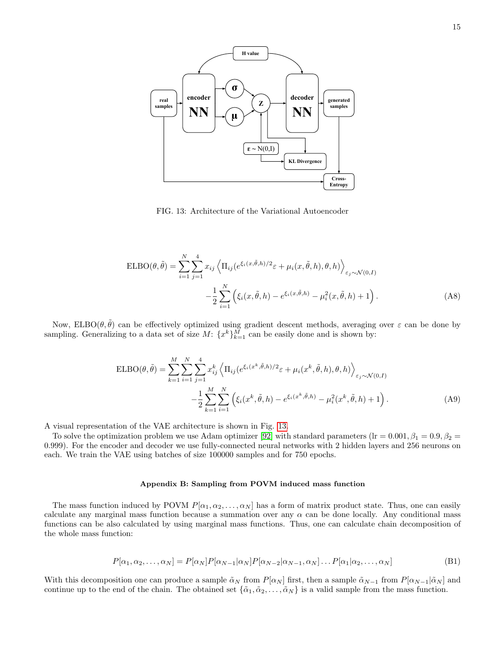<span id="page-14-0"></span>

FIG. 13: Architecture of the Variational Autoencoder

$$
\text{ELBO}(\theta, \tilde{\theta}) = \sum_{i=1}^{N} \sum_{j=1}^{4} x_{ij} \left\langle \Pi_{ij} (e^{\xi_i(x, \tilde{\theta}, h)/2} \varepsilon + \mu_i(x, \tilde{\theta}, h), \theta, h) \right\rangle_{\varepsilon_j \sim \mathcal{N}(0, I)} - \frac{1}{2} \sum_{i=1}^{N} \left( \xi_i(x, \tilde{\theta}, h) - e^{\xi_i(x, \tilde{\theta}, h)} - \mu_i^2(x, \tilde{\theta}, h) + 1 \right).
$$
 (A8)

Now, ELBO( $\theta, \tilde{\theta}$ ) can be effectively optimized using gradient descent methods, averaging over  $\varepsilon$  can be done by sampling. Generalizing to a data set of size  $M: \{x^k\}_{k=1}^M$  can be easily done and is shown by:

$$
ELBO(\theta, \tilde{\theta}) = \sum_{k=1}^{M} \sum_{i=1}^{N} \sum_{j=1}^{4} x_{ij}^{k} \left\langle \Pi_{ij} (e^{\xi_i (x^k, \tilde{\theta}, h)/2} \varepsilon + \mu_i (x^k, \tilde{\theta}, h), \theta, h) \right\rangle_{\varepsilon_j \sim \mathcal{N}(0, I)} - \frac{1}{2} \sum_{k=1}^{M} \sum_{i=1}^{N} \left( \xi_i (x^k, \tilde{\theta}, h) - e^{\xi_i (x^k, \tilde{\theta}, h)} - \mu_i^2 (x^k, \tilde{\theta}, h) + 1 \right).
$$
(A9)

A visual representation of the VAE architecture is shown in Fig. [13.](#page-14-0)

To solve the optimization problem we use Adam optimizer [\[92\]](#page-16-48) with standard parameters (lr =  $0.001, \beta_1 = 0.9, \beta_2 =$ 0.999). For the encoder and decoder we use fully-connected neural networks with 2 hidden layers and 256 neurons on each. We train the VAE using batches of size 100000 samples and for 750 epochs.

#### Appendix B: Sampling from POVM induced mass function

The mass function induced by POVM  $P[\alpha_1, \alpha_2, \ldots, \alpha_N]$  has a form of matrix product state. Thus, one can easily calculate any marginal mass function because a summation over any  $\alpha$  can be done locally. Any conditional mass functions can be also calculated by using marginal mass functions. Thus, one can calculate chain decomposition of the whole mass function:

$$
P[\alpha_1, \alpha_2, \dots, \alpha_N] = P[\alpha_N] P[\alpha_{N-1} | \alpha_N] P[\alpha_{N-2} | \alpha_{N-1}, \alpha_N] \dots P[\alpha_1 | \alpha_2, \dots, \alpha_N]
$$
(B1)

With this decomposition one can produce a sample  $\tilde{\alpha}_N$  from  $P[\alpha_N]$  first, then a sample  $\tilde{\alpha}_{N-1}$  from  $P[\alpha_{N-1}|\tilde{\alpha}_N]$  and continue up to the end of the chain. The obtained set  $\{\tilde{\alpha}_1, \tilde{\alpha}_2, \ldots, \tilde{\alpha}_N\}$  is a valid sample from the mass function.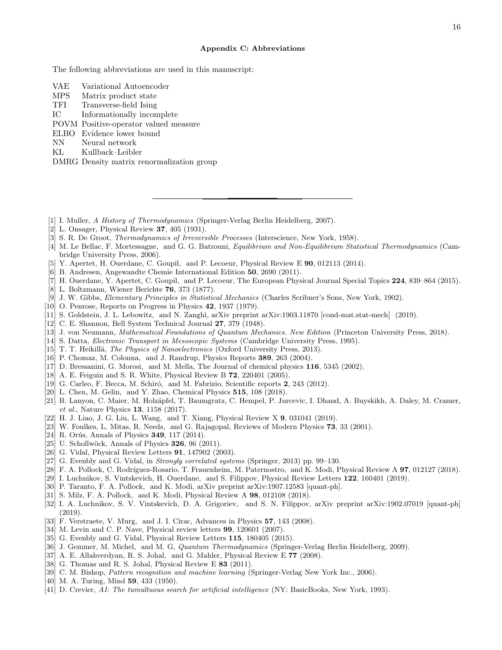#### Appendix C: Abbreviations

The following abbreviations are used in this manuscript:

- VAE Variational Autoencoder
- MPS Matrix product state
- TFI Transverse-field Ising
- IC Informationally incomplete
- POVM Positive-operator valued measure
- ELBO Evidence lower bound
- NN Neural network
- KL Kullback–Leibler
- DMRG Density matrix renormalization group
- <span id="page-15-0"></span>[1] I. Muller, A History of Thermodynamics (Springer-Verlag Berlin Heidelberg, 2007).
- <span id="page-15-1"></span>[2] L. Onsager, Physical Review 37, 405 (1931).
- [3] S. R. De Groot, *Thermodynamics of Irreversible Processes* (Interscience, New York, 1958).
- <span id="page-15-39"></span>[4] M. Le Bellac, F. Mortessagne, and G. G. Batrouni, Equilibrium and Non-Equilibrium Statistical Thermodynamics (Cambridge University Press, 2006).
- <span id="page-15-2"></span>[5] Y. Apertet, H. Ouerdane, C. Goupil, and P. Lecoeur, Physical Review E 90, 012113 (2014).
- <span id="page-15-3"></span>[6] B. Andresen, Angewandte Chemie International Edition 50, 2690 (2011).
- <span id="page-15-4"></span>[7] H. Ouerdane, Y. Apertet, C. Goupil, and P. Lecoeur, The European Physical Journal Special Topics 224, 839–864 (2015).
- <span id="page-15-5"></span>[8] L. Boltzmann, Wiener Berichte 76, 373 (1877).
- <span id="page-15-6"></span>[9] J. W. Gibbs, Elementary Principles in Statistical Mechanics (Charles Scribner's Sons, New York, 1902).
- <span id="page-15-7"></span>[10] O. Penrose, Reports on Progress in Physics 42, 1937 (1979).
- <span id="page-15-8"></span>[11] S. Goldstein, J. L. Lebowitz, and N. Zanghì, arXiv preprint arXiv:1903.11870 [cond-mat.stat-mech] (2019).
- <span id="page-15-9"></span>[12] C. E. Shannon, Bell System Technical Journal 27, 379 (1948).
- <span id="page-15-10"></span>[13] J. von Neumann, Mathematical Foundations of Quantum Mechanics. New Edition (Princeton University Press, 2018).
- <span id="page-15-11"></span>[14] S. Datta, Electronic Transport in Mesoscopic Systems (Cambridge University Press, 1995).
- <span id="page-15-12"></span>[15] T. T. Heikillä, The Physics of Nanoelectronics (Oxford University Press, 2013).
- <span id="page-15-13"></span>[16] P. Chomaz, M. Colonna, and J. Randrup, Physics Reports 389, 263 (2004).
- <span id="page-15-14"></span>[17] D. Bressanini, G. Morosi, and M. Mella, The Journal of chemical physics 116, 5345 (2002).
- <span id="page-15-15"></span>[18] A. E. Feiguin and S. R. White, Physical Review B 72, 220401 (2005).
- <span id="page-15-16"></span>[19] G. Carleo, F. Becca, M. Schiró, and M. Fabrizio, Scientific reports 2, 243 (2012).
- <span id="page-15-17"></span>[20] L. Chen, M. Gelin, and Y. Zhao, Chemical Physics 515, 108 (2018).
- <span id="page-15-18"></span>[21] B. Lanyon, C. Maier, M. Holz¨apfel, T. Baumgratz, C. Hempel, P. Jurcevic, I. Dhand, A. Buyskikh, A. Daley, M. Cramer, et al., Nature Physics 13, 1158 (2017).
- <span id="page-15-19"></span>[22] H. J. Liao, J. G. Liu, L. Wang, and T. Xiang, Physical Review X 9, 031041 (2019).
- <span id="page-15-20"></span>[23] W. Foulkes, L. Mitas, R. Needs, and G. Rajagopal, Reviews of Modern Physics 73, 33 (2001).
- <span id="page-15-21"></span>[24] R. Orús, Annals of Physics  $349$ , 117 (2014).
- <span id="page-15-22"></span> $[25]$  U. Schollwöck, Annals of Physics  $326$ ,  $96$   $(2011)$ .
- <span id="page-15-23"></span>[26] G. Vidal, Physical Review Letters 91, 147902 (2003).
- <span id="page-15-24"></span>[27] G. Evenbly and G. Vidal, in *Strongly correlated systems* (Springer, 2013) pp. 99–130.
- <span id="page-15-25"></span>[28] F. A. Pollock, C. Rodríguez-Rosario, T. Frauenheim, M. Paternostro, and K. Modi, Physical Review A 97, 012127 (2018).
- <span id="page-15-26"></span>[29] I. Luchnikov, S. Vintskevich, H. Ouerdane, and S. Filippov, Physical Review Letters 122, 160401 (2019).
- <span id="page-15-27"></span>[30] P. Taranto, F. A. Pollock, and K. Modi, arXiv preprint arXiv:1907.12583 [quant-ph].
- <span id="page-15-28"></span>[31] S. Milz, F. A. Pollock, and K. Modi, Physical Review A 98, 012108 (2018).
- <span id="page-15-29"></span>[32] I. A. Luchnikov, S. V. Vintskevich, D. A. Grigoriev, and S. N. Filippov, arXiv preprint arXiv:1902.07019 [quant-ph] (2019).
- <span id="page-15-30"></span>[33] F. Verstraete, V. Murg, and J. I. Cirac, Advances in Physics 57, 143 (2008).
- <span id="page-15-31"></span>[34] M. Levin and C. P. Nave, Physical review letters 99, 120601 (2007).
- <span id="page-15-32"></span>[35] G. Evenbly and G. Vidal, Physical Review Letters 115, 180405 (2015).
- <span id="page-15-33"></span>[36] J. Gemmer, M. Michel, and M. G, Quantum Thermodynamics (Springer-Verlag Berlin Heidelberg, 2009).
- <span id="page-15-34"></span>[37] A. E. Allahverdyan, R. S. Johal, and G. Mahler, Physical Review E 77 (2008).
- <span id="page-15-35"></span>[38] G. Thomas and R. S. Johal, Physical Review E 83 (2011).
- <span id="page-15-36"></span>[39] C. M. Bishop, *Pattern recognition and machine learning* (Springer-Verlag New York Inc., 2006).
- <span id="page-15-37"></span>[40] M. A. Turing, Mind **59**, 433 (1950).
- <span id="page-15-38"></span>[41] D. Crevier, AI: The tumultuous search for artificial intelligence (NY: BasicBooks, New York, 1993).